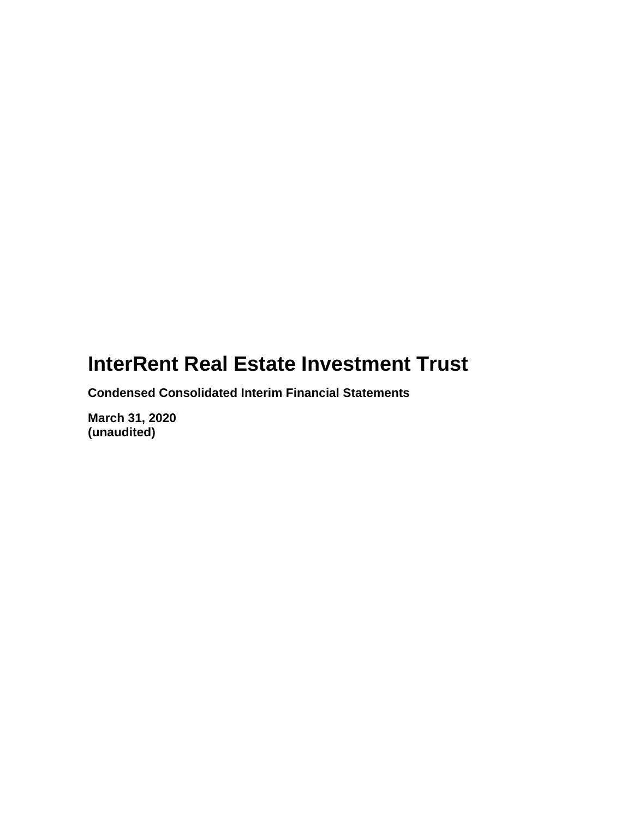**Condensed Consolidated Interim Financial Statements**

**March 31, 2020 (unaudited)**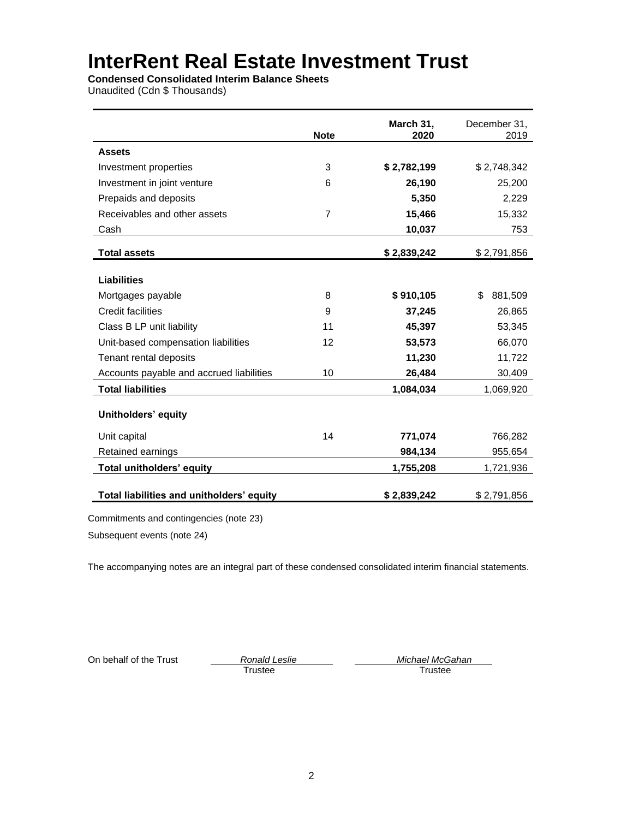**Condensed Consolidated Interim Balance Sheets**

Unaudited (Cdn \$ Thousands)

|                                           | <b>Note</b>    | March 31,<br>2020 | December 31,<br>2019 |
|-------------------------------------------|----------------|-------------------|----------------------|
| <b>Assets</b>                             |                |                   |                      |
| Investment properties                     | 3              | \$2,782,199       | \$2,748,342          |
| Investment in joint venture               | 6              | 26,190            | 25,200               |
| Prepaids and deposits                     |                | 5,350             | 2,229                |
| Receivables and other assets              | $\overline{7}$ | 15,466            | 15,332               |
| Cash                                      |                | 10,037            | 753                  |
| <b>Total assets</b>                       |                | \$2,839,242       | \$2,791,856          |
| <b>Liabilities</b>                        |                |                   |                      |
| Mortgages payable                         | 8              | \$910,105         | \$.<br>881,509       |
| Credit facilities                         | 9              | 37,245            | 26,865               |
| Class B LP unit liability                 | 11             | 45,397            | 53,345               |
| Unit-based compensation liabilities       | 12             | 53,573            | 66,070               |
| Tenant rental deposits                    |                | 11,230            | 11,722               |
| Accounts payable and accrued liabilities  | 10             | 26,484            | 30,409               |
| <b>Total liabilities</b>                  |                | 1,084,034         | 1,069,920            |
| <b>Unitholders' equity</b>                |                |                   |                      |
| Unit capital                              | 14             | 771,074           | 766,282              |
| Retained earnings                         |                | 984,134           | 955,654              |
| Total unitholders' equity                 |                | 1,755,208         | 1,721,936            |
| Total liabilities and unitholders' equity |                | \$2,839,242       | \$2,791,856          |

Commitments and contingencies (note 23)

Subsequent events (note 24)

The accompanying notes are an integral part of these condensed consolidated interim financial statements.

**Trustee** 

On behalf of the Trust *Ronald Leslie Michael McGahan*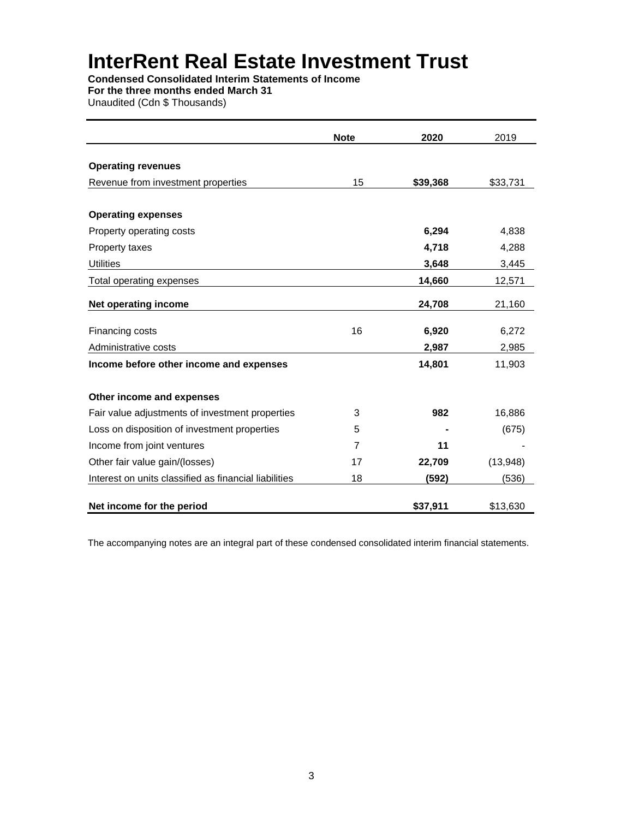**Condensed Consolidated Interim Statements of Income For the three months ended March 31**

Unaudited (Cdn \$ Thousands)

|                                                       | <b>Note</b> | 2020     | 2019     |
|-------------------------------------------------------|-------------|----------|----------|
|                                                       |             |          |          |
| <b>Operating revenues</b>                             |             |          |          |
| Revenue from investment properties                    | 15          | \$39,368 | \$33,731 |
| <b>Operating expenses</b>                             |             |          |          |
| Property operating costs                              |             | 6,294    | 4,838    |
| Property taxes                                        |             | 4,718    | 4,288    |
| <b>Utilities</b>                                      |             | 3,648    | 3,445    |
| Total operating expenses                              |             | 14,660   | 12,571   |
| Net operating income                                  |             | 24,708   | 21,160   |
| Financing costs                                       | 16          | 6,920    | 6,272    |
| Administrative costs                                  |             | 2,987    | 2,985    |
| Income before other income and expenses               |             | 14,801   | 11,903   |
| Other income and expenses                             |             |          |          |
| Fair value adjustments of investment properties       | 3           | 982      | 16,886   |
| Loss on disposition of investment properties          | 5           |          | (675)    |
| Income from joint ventures                            | 7           | 11       |          |
| Other fair value gain/(losses)                        | 17          | 22,709   | (13,948) |
| Interest on units classified as financial liabilities | 18          | (592)    | (536)    |
| Net income for the period                             |             | \$37,911 | \$13,630 |

The accompanying notes are an integral part of these condensed consolidated interim financial statements.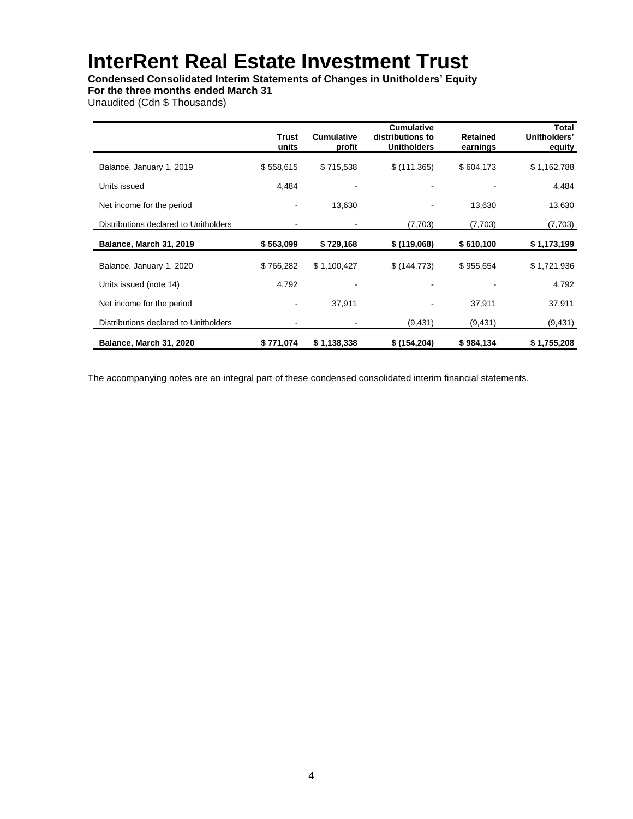### **Condensed Consolidated Interim Statements of Changes in Unitholders' Equity**

**For the three months ended March 31**

Unaudited (Cdn \$ Thousands)

|                                       | <b>Trust</b><br>units | <b>Cumulative</b><br>profit | <b>Cumulative</b><br>distributions to<br><b>Unitholders</b> | <b>Retained</b><br>earnings | Total<br>Unitholders'<br>equity |
|---------------------------------------|-----------------------|-----------------------------|-------------------------------------------------------------|-----------------------------|---------------------------------|
| Balance, January 1, 2019              | \$558,615             | \$715,538                   | \$(111,365)                                                 | \$604,173                   | \$1,162,788                     |
| Units issued                          | 4,484                 |                             |                                                             |                             | 4,484                           |
| Net income for the period             |                       | 13,630                      |                                                             | 13,630                      | 13,630                          |
| Distributions declared to Unitholders |                       |                             | (7,703)                                                     | (7,703)                     | (7,703)                         |
| Balance, March 31, 2019               | \$563,099             | \$729,168                   | \$(119,068)                                                 | \$610,100                   | \$1,173,199                     |
| Balance, January 1, 2020              | \$766,282             | \$1,100,427                 | \$(144, 773)                                                | \$955,654                   | \$1,721,936                     |
| Units issued (note 14)                | 4,792                 |                             |                                                             |                             | 4,792                           |
| Net income for the period             |                       | 37,911                      |                                                             | 37,911                      | 37,911                          |
| Distributions declared to Unitholders |                       |                             | (9,431)                                                     | (9, 431)                    | (9, 431)                        |
| Balance, March 31, 2020               | \$771,074             | \$1,138,338                 | \$(154,204)                                                 | \$984,134                   | \$1,755,208                     |

The accompanying notes are an integral part of these condensed consolidated interim financial statements.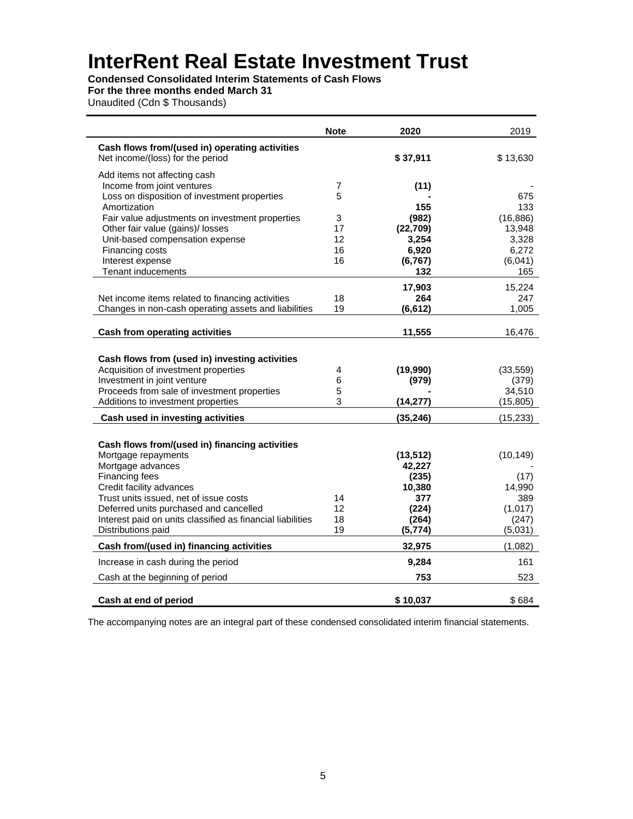**Condensed Consolidated Interim Statements of Cash Flows**

### **For the three months ended March 31**

Unaudited (Cdn \$ Thousands)

|                                                                                  | <b>Note</b> | 2020           | 2019           |
|----------------------------------------------------------------------------------|-------------|----------------|----------------|
| Cash flows from/(used in) operating activities                                   |             |                |                |
| Net income/(loss) for the period                                                 |             | \$37,911       | \$13,630       |
| Add items not affecting cash                                                     |             |                |                |
| Income from joint ventures                                                       | 7           | (11)           |                |
| Loss on disposition of investment properties                                     | 5           |                | 675            |
| Amortization                                                                     |             | 155            | 133            |
| Fair value adjustments on investment properties                                  | 3           | (982)          | (16, 886)      |
| Other fair value (gains)/ losses                                                 | 17<br>12    | (22, 709)      | 13,948         |
| Unit-based compensation expense<br>Financing costs                               | 16          | 3,254<br>6,920 | 3,328<br>6,272 |
| Interest expense                                                                 | 16          | (6, 767)       | (6,041)        |
| <b>Tenant inducements</b>                                                        |             | 132            | 165            |
|                                                                                  |             |                |                |
|                                                                                  |             | 17,903         | 15,224         |
| Net income items related to financing activities                                 | 18          | 264            | 247            |
| Changes in non-cash operating assets and liabilities                             | 19          | (6, 612)       | 1,005          |
|                                                                                  |             |                |                |
| <b>Cash from operating activities</b>                                            |             | 11,555         | 16,476         |
|                                                                                  |             |                |                |
| Cash flows from (used in) investing activities                                   |             |                |                |
| Acquisition of investment properties                                             | 4           | (19,990)       | (33, 559)      |
| Investment in joint venture                                                      | 6           | (979)          | (379)          |
| Proceeds from sale of investment properties                                      | 5           |                | 34,510         |
| Additions to investment properties                                               | 3           | (14, 277)      | (15, 805)      |
| Cash used in investing activities                                                |             | (35, 246)      | (15, 233)      |
|                                                                                  |             |                |                |
| Cash flows from/(used in) financing activities                                   |             |                |                |
| Mortgage repayments                                                              |             | (13, 512)      | (10, 149)      |
| Mortgage advances                                                                |             | 42,227         |                |
| Financing fees                                                                   |             | (235)          | (17)           |
| Credit facility advances                                                         |             | 10,380         | 14,990         |
| Trust units issued, net of issue costs                                           | 14          | 377            | 389            |
| Deferred units purchased and cancelled                                           | 12          | (224)          | (1,017)        |
| Interest paid on units classified as financial liabilities<br>Distributions paid | 18          | (264)          | (247)          |
|                                                                                  | 19          | (5, 774)       | (5,031)        |
| Cash from/(used in) financing activities                                         |             | 32,975         | (1,082)        |
| Increase in cash during the period                                               |             | 9,284          | 161            |
| Cash at the beginning of period                                                  |             | 753            | 523            |
| Cash at end of period                                                            |             | \$10,037       | \$684          |

The accompanying notes are an integral part of these condensed consolidated interim financial statements.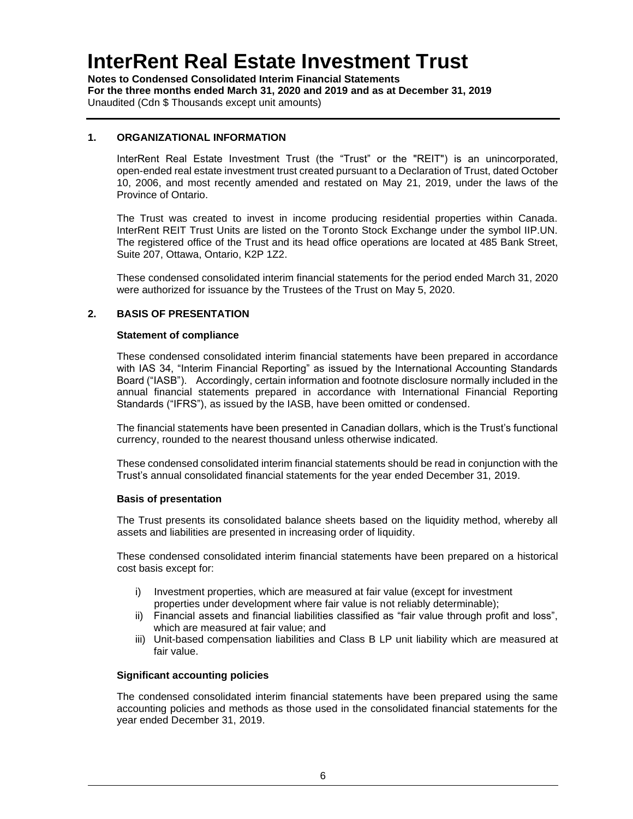**Notes to Condensed Consolidated Interim Financial Statements For the three months ended March 31, 2020 and 2019 and as at December 31, 2019** Unaudited (Cdn \$ Thousands except unit amounts)

#### **1. ORGANIZATIONAL INFORMATION**

InterRent Real Estate Investment Trust (the "Trust" or the "REIT") is an unincorporated, open-ended real estate investment trust created pursuant to a Declaration of Trust, dated October 10, 2006, and most recently amended and restated on May 21, 2019, under the laws of the Province of Ontario.

The Trust was created to invest in income producing residential properties within Canada. InterRent REIT Trust Units are listed on the Toronto Stock Exchange under the symbol IIP.UN. The registered office of the Trust and its head office operations are located at 485 Bank Street, Suite 207, Ottawa, Ontario, K2P 1Z2.

These condensed consolidated interim financial statements for the period ended March 31, 2020 were authorized for issuance by the Trustees of the Trust on May 5, 2020.

#### **2. BASIS OF PRESENTATION**

#### **Statement of compliance**

These condensed consolidated interim financial statements have been prepared in accordance with IAS 34, "Interim Financial Reporting" as issued by the International Accounting Standards Board ("IASB"). Accordingly, certain information and footnote disclosure normally included in the annual financial statements prepared in accordance with International Financial Reporting Standards ("IFRS"), as issued by the IASB, have been omitted or condensed.

The financial statements have been presented in Canadian dollars, which is the Trust's functional currency, rounded to the nearest thousand unless otherwise indicated.

These condensed consolidated interim financial statements should be read in conjunction with the Trust's annual consolidated financial statements for the year ended December 31, 2019.

#### **Basis of presentation**

The Trust presents its consolidated balance sheets based on the liquidity method, whereby all assets and liabilities are presented in increasing order of liquidity.

These condensed consolidated interim financial statements have been prepared on a historical cost basis except for:

- i) Investment properties, which are measured at fair value (except for investment properties under development where fair value is not reliably determinable);
- ii) Financial assets and financial liabilities classified as "fair value through profit and loss", which are measured at fair value; and
- iii) Unit-based compensation liabilities and Class B LP unit liability which are measured at fair value.

#### **Significant accounting policies**

The condensed consolidated interim financial statements have been prepared using the same accounting policies and methods as those used in the consolidated financial statements for the year ended December 31, 2019.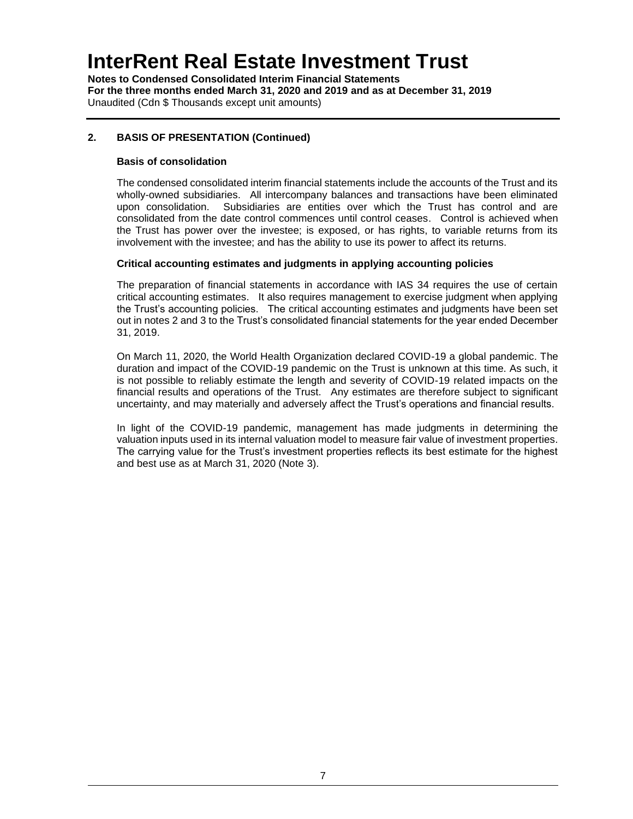**Notes to Condensed Consolidated Interim Financial Statements For the three months ended March 31, 2020 and 2019 and as at December 31, 2019** Unaudited (Cdn \$ Thousands except unit amounts)

### **2. BASIS OF PRESENTATION (Continued)**

#### **Basis of consolidation**

The condensed consolidated interim financial statements include the accounts of the Trust and its wholly-owned subsidiaries. All intercompany balances and transactions have been eliminated upon consolidation. Subsidiaries are entities over which the Trust has control and are consolidated from the date control commences until control ceases. Control is achieved when the Trust has power over the investee; is exposed, or has rights, to variable returns from its involvement with the investee; and has the ability to use its power to affect its returns.

#### **Critical accounting estimates and judgments in applying accounting policies**

The preparation of financial statements in accordance with IAS 34 requires the use of certain critical accounting estimates. It also requires management to exercise judgment when applying the Trust's accounting policies. The critical accounting estimates and judgments have been set out in notes 2 and 3 to the Trust's consolidated financial statements for the year ended December 31, 2019.

On March 11, 2020, the World Health Organization declared COVID-19 a global pandemic. The duration and impact of the COVID-19 pandemic on the Trust is unknown at this time. As such, it is not possible to reliably estimate the length and severity of COVID-19 related impacts on the financial results and operations of the Trust. Any estimates are therefore subject to significant uncertainty, and may materially and adversely affect the Trust's operations and financial results.

In light of the COVID-19 pandemic, management has made judgments in determining the valuation inputs used in its internal valuation model to measure fair value of investment properties. The carrying value for the Trust's investment properties reflects its best estimate for the highest and best use as at March 31, 2020 (Note 3).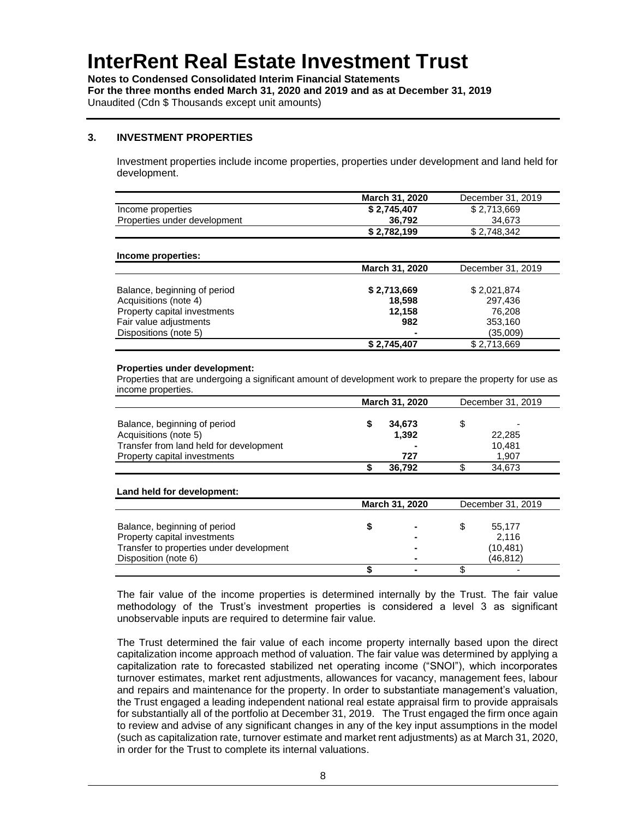**Notes to Condensed Consolidated Interim Financial Statements For the three months ended March 31, 2020 and 2019 and as at December 31, 2019** Unaudited (Cdn \$ Thousands except unit amounts)

#### **3. INVESTMENT PROPERTIES**

Investment properties include income properties, properties under development and land held for development.

|                              | March 31, 2020 | December 31, 2019 |
|------------------------------|----------------|-------------------|
| Income properties            | \$2,745,407    | \$2,713,669       |
| Properties under development | 36.792         | 34.673            |
|                              | \$2,782,199    | \$2,748,342       |

#### **Income properties:**

|                              | March 31, 2020 | December 31, 2019 |
|------------------------------|----------------|-------------------|
|                              |                |                   |
| Balance, beginning of period | \$2,713,669    | \$2,021,874       |
| Acquisitions (note 4)        | 18.598         | 297,436           |
| Property capital investments | 12.158         | 76.208            |
| Fair value adjustments       | 982            | 353,160           |
| Dispositions (note 5)        |                | (35,009)          |
|                              | \$2,745,407    | \$2,713,669       |

#### **Properties under development:**

Properties that are undergoing a significant amount of development work to prepare the property for use as income properties.

|                                         | <b>March 31, 2020</b> |                | December 31, 2019 |
|-----------------------------------------|-----------------------|----------------|-------------------|
|                                         |                       |                |                   |
| Balance, beginning of period            |                       | 34.673         |                   |
| Acquisitions (note 5)                   |                       | 1.392          | 22,285            |
| Transfer from land held for development |                       | $\blacksquare$ | 10.481            |
| Property capital investments            |                       | 727            | 1.907             |
|                                         |                       | 36.792         | 34.673            |

#### **Land held for development:**

|                                          | <b>March 31, 2020</b> |                |   | December 31, 2019 |
|------------------------------------------|-----------------------|----------------|---|-------------------|
|                                          |                       |                |   |                   |
| Balance, beginning of period             |                       | $\blacksquare$ | S | 55.177            |
| Property capital investments             |                       | $\blacksquare$ |   | 2,116             |
| Transfer to properties under development |                       | $\blacksquare$ |   | (10, 481)         |
| Disposition (note 6)                     |                       | $\blacksquare$ |   | (46, 812)         |
|                                          |                       | $\blacksquare$ |   |                   |

The fair value of the income properties is determined internally by the Trust. The fair value methodology of the Trust's investment properties is considered a level 3 as significant unobservable inputs are required to determine fair value.

The Trust determined the fair value of each income property internally based upon the direct capitalization income approach method of valuation. The fair value was determined by applying a capitalization rate to forecasted stabilized net operating income ("SNOI"), which incorporates turnover estimates, market rent adjustments, allowances for vacancy, management fees, labour and repairs and maintenance for the property. In order to substantiate management's valuation, the Trust engaged a leading independent national real estate appraisal firm to provide appraisals for substantially all of the portfolio at December 31, 2019. The Trust engaged the firm once again to review and advise of any significant changes in any of the key input assumptions in the model (such as capitalization rate, turnover estimate and market rent adjustments) as at March 31, 2020, in order for the Trust to complete its internal valuations.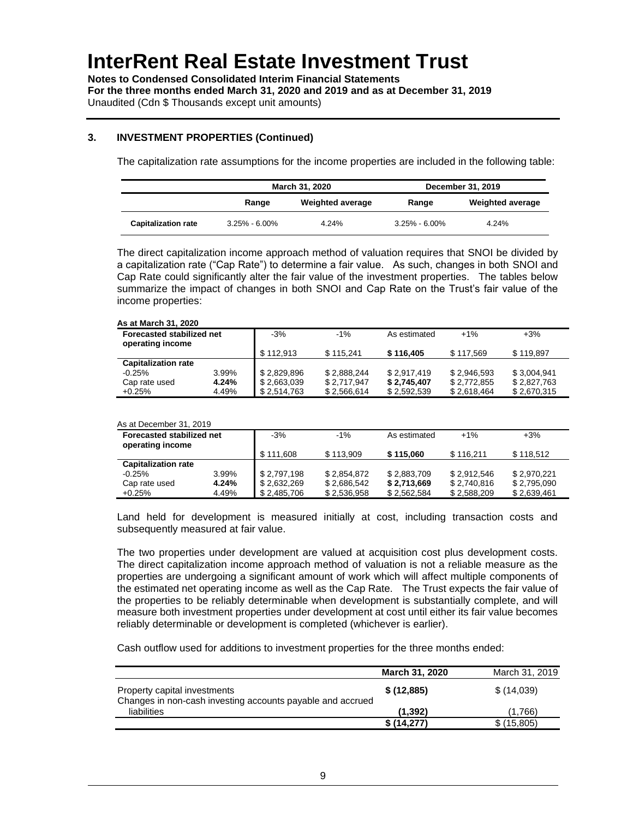**Notes to Condensed Consolidated Interim Financial Statements For the three months ended March 31, 2020 and 2019 and as at December 31, 2019** Unaudited (Cdn \$ Thousands except unit amounts)

### **3. INVESTMENT PROPERTIES (Continued)**

The capitalization rate assumptions for the income properties are included in the following table:

|                            | March 31, 2020    |                         |                   | December 31, 2019       |
|----------------------------|-------------------|-------------------------|-------------------|-------------------------|
|                            | Range             | <b>Weighted average</b> | Range             | <b>Weighted average</b> |
| <b>Capitalization rate</b> | $3.25\% - 6.00\%$ | 4.24%                   | $3.25\% - 6.00\%$ | 4.24%                   |

The direct capitalization income approach method of valuation requires that SNOI be divided by a capitalization rate ("Cap Rate") to determine a fair value. As such, changes in both SNOI and Cap Rate could significantly alter the fair value of the investment properties. The tables below summarize the impact of changes in both SNOI and Cap Rate on the Trust's fair value of the income properties:

#### **As at March 31, 2020**

| <b>Forecasted stabilized net</b><br>operating income |       | $-3%$       | $-1\%$      | As estimated | $+1%$       | $+3%$       |
|------------------------------------------------------|-------|-------------|-------------|--------------|-------------|-------------|
|                                                      |       | \$112.913   | \$115.241   | \$116,405    | \$117.569   | \$119.897   |
| <b>Capitalization rate</b>                           |       |             |             |              |             |             |
| $-0.25%$                                             | 3.99% | \$2.829.896 | \$2.888.244 | \$2.917.419  | \$2,946,593 | \$3,004,941 |
| Cap rate used                                        | 4.24% | \$2,663,039 | \$2.717.947 | \$2,745,407  | \$2,772,855 | \$2,827,763 |
| $+0.25%$                                             | 4.49% | \$2,514,763 | \$2,566,614 | \$2,592,539  | \$2,618,464 | \$2,670,315 |

#### As at December 31, 2019

| Forecasted stabilized net<br>operating income |       | $-3%$       | $-1\%$      | As estimated | $+1\%$      | $+3%$       |
|-----------------------------------------------|-------|-------------|-------------|--------------|-------------|-------------|
|                                               |       | \$111.608   | \$113.909   | \$115,060    | \$116.211   | \$118.512   |
| <b>Capitalization rate</b>                    |       |             |             |              |             |             |
| $-0.25%$                                      | 3.99% | \$2.797.198 | \$2,854,872 | \$2,883,709  | \$2,912,546 | \$2,970,221 |
| Cap rate used                                 | 4.24% | \$2,632,269 | \$2,686,542 | \$2,713,669  | \$2,740,816 | \$2,795,090 |
| $+0.25%$                                      | 4.49% | \$2,485,706 | \$2,536,958 | \$2,562,584  | \$2,588,209 | \$2,639,461 |

Land held for development is measured initially at cost, including transaction costs and subsequently measured at fair value.

The two properties under development are valued at acquisition cost plus development costs. The direct capitalization income approach method of valuation is not a reliable measure as the properties are undergoing a significant amount of work which will affect multiple components of the estimated net operating income as well as the Cap Rate. The Trust expects the fair value of the properties to be reliably determinable when development is substantially complete, and will measure both investment properties under development at cost until either its fair value becomes reliably determinable or development is completed (whichever is earlier).

Cash outflow used for additions to investment properties for the three months ended:

|                                                                                            | <b>March 31, 2020</b> | March 31, 2019 |
|--------------------------------------------------------------------------------------------|-----------------------|----------------|
| Property capital investments<br>Changes in non-cash investing accounts payable and accrued | \$(12,885)            | \$(14,039)     |
| liabilities                                                                                | (1, 392)              | (1.766)        |
|                                                                                            | \$(14,277)            | \$(15,805)     |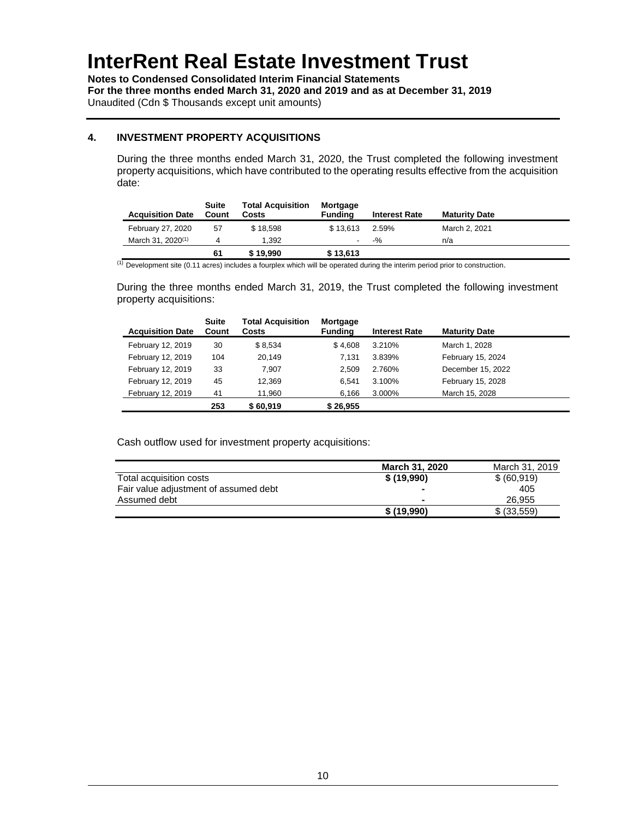**Notes to Condensed Consolidated Interim Financial Statements For the three months ended March 31, 2020 and 2019 and as at December 31, 2019** Unaudited (Cdn \$ Thousands except unit amounts)

### **4. INVESTMENT PROPERTY ACQUISITIONS**

During the three months ended March 31, 2020, the Trust completed the following investment property acquisitions, which have contributed to the operating results effective from the acquisition date:

| <b>Acquisition Date</b>       | Suite<br>Count | <b>Total Acquisition</b><br>Costs | Mortgage<br><b>Funding</b> | <b>Interest Rate</b> | <b>Maturity Date</b> |
|-------------------------------|----------------|-----------------------------------|----------------------------|----------------------|----------------------|
| February 27, 2020             | 57             | \$18.598                          | \$13.613                   | 2.59%                | March 2, 2021        |
| March 31, 2020 <sup>(1)</sup> |                | 1.392                             | ۰                          | $-9/20$              | n/a                  |
|                               | 61             | \$19.990                          | \$13,613                   |                      |                      |

(1) Development site (0.11 acres) includes a fourplex which will be operated during the interim period prior to construction.

During the three months ended March 31, 2019, the Trust completed the following investment property acquisitions:

| <b>Acquisition Date</b> | Suite<br>Count | <b>Total Acquisition</b><br>Costs | Mortgage<br><b>Funding</b> | <b>Interest Rate</b> | <b>Maturity Date</b> |
|-------------------------|----------------|-----------------------------------|----------------------------|----------------------|----------------------|
| February 12, 2019       | 30             | \$8,534                           | \$4.608                    | 3.210%               | March 1, 2028        |
| February 12, 2019       | 104            | 20.149                            | 7.131                      | 3.839%               | February 15, 2024    |
| February 12, 2019       | 33             | 7.907                             | 2.509                      | 2.760%               | December 15, 2022    |
| February 12, 2019       | 45             | 12.369                            | 6.541                      | 3.100%               | February 15, 2028    |
| February 12, 2019       | 41             | 11,960                            | 6.166                      | 3.000%               | March 15, 2028       |
|                         | 253            | \$60.919                          | \$26,955                   |                      |                      |

Cash outflow used for investment property acquisitions:

|                                       | <b>March 31, 2020</b>    | March 31, 2019 |
|---------------------------------------|--------------------------|----------------|
| Total acquisition costs               | \$(19,990)               | \$ (60, 919)   |
| Fair value adjustment of assumed debt | $\overline{\phantom{a}}$ | 405            |
| Assumed debt                          | $\blacksquare$           | 26.955         |
|                                       | \$(19,990)               | \$ (33,559)    |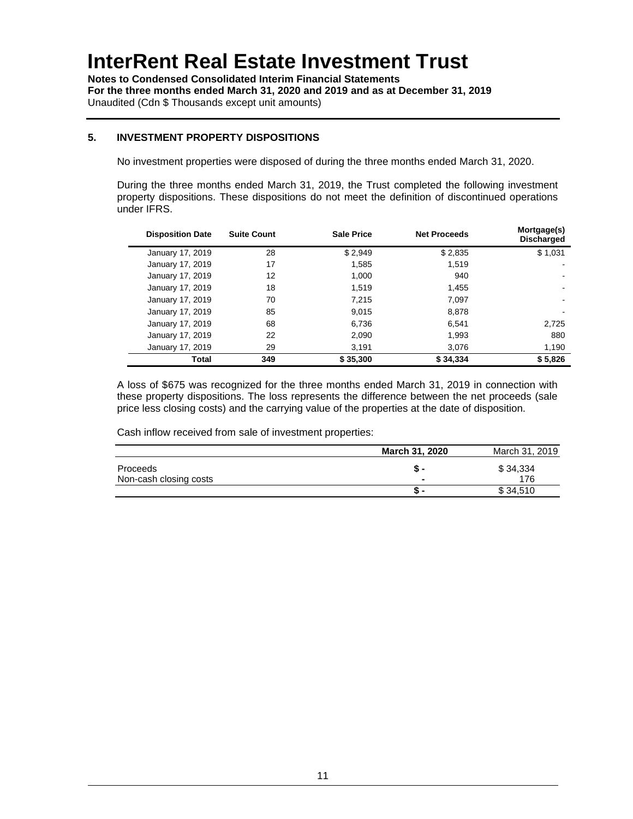**Notes to Condensed Consolidated Interim Financial Statements For the three months ended March 31, 2020 and 2019 and as at December 31, 2019** Unaudited (Cdn \$ Thousands except unit amounts)

### **5. INVESTMENT PROPERTY DISPOSITIONS**

No investment properties were disposed of during the three months ended March 31, 2020.

During the three months ended March 31, 2019, the Trust completed the following investment property dispositions. These dispositions do not meet the definition of discontinued operations under IFRS.

| <b>Disposition Date</b> | <b>Suite Count</b> | <b>Sale Price</b> | <b>Net Proceeds</b> | Mortgage(s)<br><b>Discharged</b> |
|-------------------------|--------------------|-------------------|---------------------|----------------------------------|
| January 17, 2019        | 28                 | \$2.949           | \$2.835             | \$1,031                          |
| January 17, 2019        | 17                 | 1.585             | 1.519               |                                  |
| January 17, 2019        | 12                 | 1.000             | 940                 |                                  |
| January 17, 2019        | 18                 | 1.519             | 1.455               |                                  |
| January 17, 2019        | 70                 | 7.215             | 7.097               |                                  |
| January 17, 2019        | 85                 | 9.015             | 8.878               |                                  |
| January 17, 2019        | 68                 | 6.736             | 6.541               | 2,725                            |
| January 17, 2019        | 22                 | 2.090             | 1,993               | 880                              |
| January 17, 2019        | 29                 | 3.191             | 3.076               | 1,190                            |
| Total                   | 349                | \$35,300          | \$34,334            | \$5,826                          |

A loss of \$675 was recognized for the three months ended March 31, 2019 in connection with these property dispositions. The loss represents the difference between the net proceeds (sale price less closing costs) and the carrying value of the properties at the date of disposition.

Cash inflow received from sale of investment properties:

|                                    | March 31, 2020 | March 31, 2019  |
|------------------------------------|----------------|-----------------|
| Proceeds<br>Non-cash closing costs | $\blacksquare$ | \$34,334<br>176 |
|                                    | <u>ъ</u>       | \$34.510        |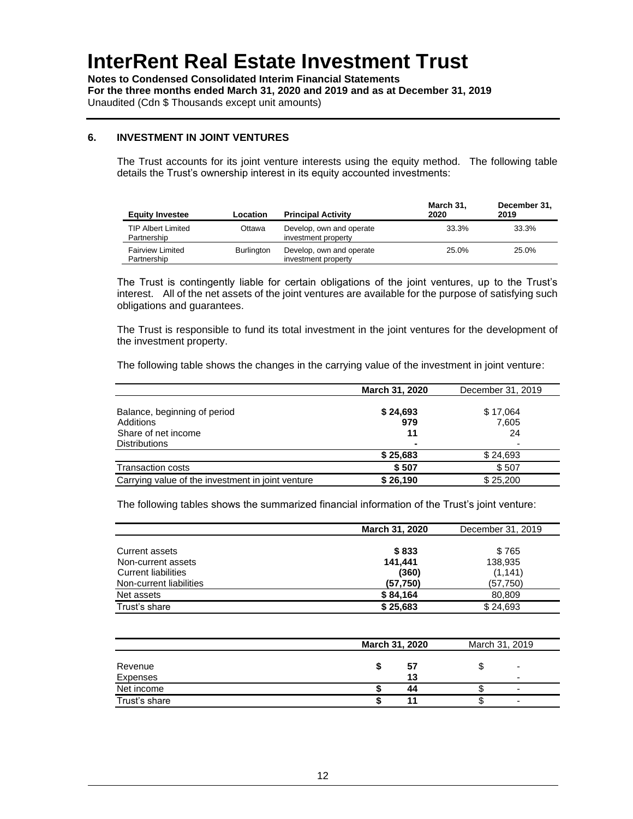**Notes to Condensed Consolidated Interim Financial Statements For the three months ended March 31, 2020 and 2019 and as at December 31, 2019** Unaudited (Cdn \$ Thousands except unit amounts)

#### **6. INVESTMENT IN JOINT VENTURES**

The Trust accounts for its joint venture interests using the equity method. The following table details the Trust's ownership interest in its equity accounted investments:

| <b>Equity Investee</b>                   | Location          | <b>Principal Activity</b>                       | March 31.<br>2020 | December 31,<br>2019 |
|------------------------------------------|-------------------|-------------------------------------------------|-------------------|----------------------|
| <b>TIP Albert Limited</b><br>Partnership | Ottawa            | Develop, own and operate<br>investment property | 33.3%             | 33.3%                |
| <b>Fairview Limited</b><br>Partnership   | <b>Burlington</b> | Develop, own and operate<br>investment property | 25.0%             | 25.0%                |

The Trust is contingently liable for certain obligations of the joint ventures, up to the Trust's interest. All of the net assets of the joint ventures are available for the purpose of satisfying such obligations and guarantees.

The Trust is responsible to fund its total investment in the joint ventures for the development of the investment property.

The following table shows the changes in the carrying value of the investment in joint venture:

|                                                   | March 31, 2020 | December 31, 2019 |
|---------------------------------------------------|----------------|-------------------|
|                                                   |                |                   |
| Balance, beginning of period                      | \$24,693       | \$17,064          |
| Additions                                         | 979            | 7,605             |
| Share of net income                               | 11             | 24                |
| <b>Distributions</b>                              | $\blacksquare$ |                   |
|                                                   | \$25,683       | \$24,693          |
| <b>Transaction costs</b>                          | \$507          | \$507             |
| Carrying value of the investment in joint venture | \$26,190       | \$25,200          |

The following tables shows the summarized financial information of the Trust's joint venture:

|                            | March 31, 2020 | December 31, 2019 |
|----------------------------|----------------|-------------------|
|                            |                |                   |
| Current assets             | \$833          | \$765             |
| Non-current assets         | 141.441        | 138,935           |
| <b>Current liabilities</b> | (360)          | (1, 141)          |
| Non-current liabilities    | (57, 750)      | (57, 750)         |
| Net assets                 | \$84,164       | 80.809            |
| Trust's share              | \$25,683       | \$24,693          |

|                        | March 31, 2020 | March 31, 2019 |
|------------------------|----------------|----------------|
| Revenue                | 57             |                |
| Expenses<br>Net income | 13<br>44       | -<br>-         |
| Trust's share          |                | -              |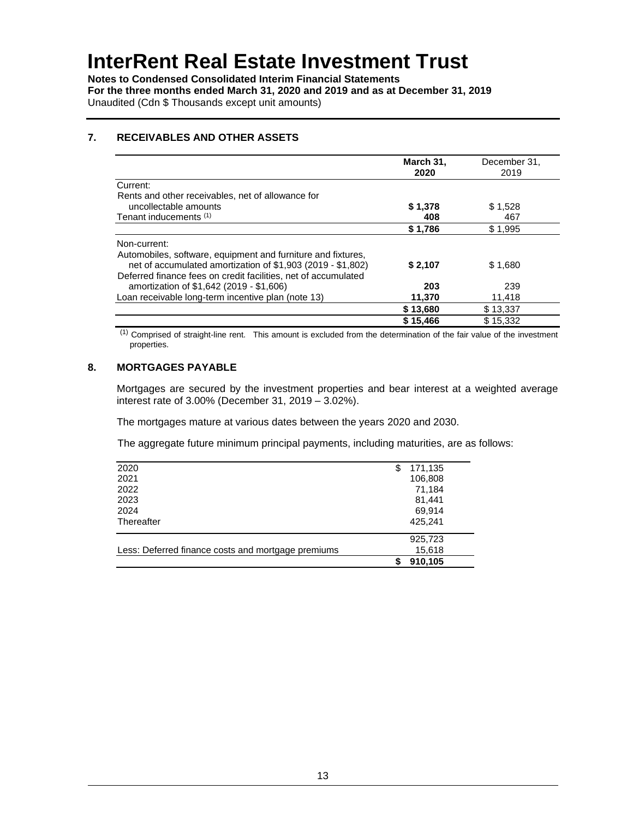**Notes to Condensed Consolidated Interim Financial Statements For the three months ended March 31, 2020 and 2019 and as at December 31, 2019** Unaudited (Cdn \$ Thousands except unit amounts)

### **7. RECEIVABLES AND OTHER ASSETS**

|                                                                | March 31,<br>2020 | December 31,<br>2019 |
|----------------------------------------------------------------|-------------------|----------------------|
| Current:                                                       |                   |                      |
| Rents and other receivables, net of allowance for              |                   |                      |
| uncollectable amounts                                          | \$1,378           | \$1,528              |
| Tenant inducements (1)                                         | 408               | 467                  |
|                                                                | \$1,786           | \$1,995              |
| Non-current:                                                   |                   |                      |
| Automobiles, software, equipment and furniture and fixtures,   |                   |                      |
| net of accumulated amortization of \$1,903 (2019 - \$1,802)    | \$2,107           | \$1.680              |
| Deferred finance fees on credit facilities, net of accumulated |                   |                      |
| amortization of \$1,642 (2019 - \$1,606)                       | 203               | 239                  |
| Loan receivable long-term incentive plan (note 13)             | 11,370            | 11,418               |
|                                                                | \$13,680          | \$13,337             |
|                                                                | \$15,466          | \$15,332             |

(1) Comprised of straight-line rent. This amount is excluded from the determination of the fair value of the investment properties.

### **8. MORTGAGES PAYABLE**

Mortgages are secured by the investment properties and bear interest at a weighted average interest rate of 3.00% (December 31, 2019 – 3.02%).

The mortgages mature at various dates between the years 2020 and 2030.

The aggregate future minimum principal payments, including maturities, are as follows:

|                                                    | 910,105       |  |
|----------------------------------------------------|---------------|--|
| Less: Deferred finance costs and mortgage premiums | 15,618        |  |
|                                                    | 925,723       |  |
| Thereafter                                         | 425,241       |  |
|                                                    |               |  |
| 2024                                               | 69,914        |  |
| 2023                                               | 81,441        |  |
| 2022                                               | 71,184        |  |
|                                                    |               |  |
| 2021                                               | 106,808       |  |
| 2020                                               | \$<br>171,135 |  |
|                                                    |               |  |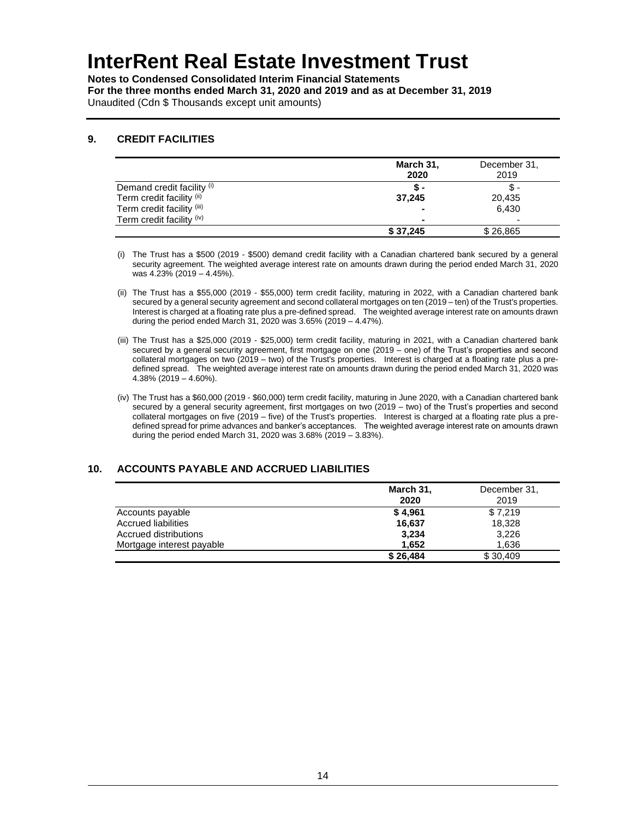**Notes to Condensed Consolidated Interim Financial Statements For the three months ended March 31, 2020 and 2019 and as at December 31, 2019** Unaudited (Cdn \$ Thousands except unit amounts)

#### **9. CREDIT FACILITIES**

|                            | March 31,<br>2020 | December 31,<br>2019     |
|----------------------------|-------------------|--------------------------|
| Demand credit facility (i) | Տ-                |                          |
| Term credit facility (ii)  | 37.245            | 20,435                   |
| Term credit facility (iii) |                   | 6,430                    |
| Term credit facility (iv)  |                   | $\overline{\phantom{0}}$ |
|                            | \$37.245          | \$26,865                 |

(i) The Trust has a \$500 (2019 - \$500) demand credit facility with a Canadian chartered bank secured by a general security agreement. The weighted average interest rate on amounts drawn during the period ended March 31, 2020 was 4.23% (2019 – 4.45%).

- (ii) The Trust has a \$55,000 (2019 \$55,000) term credit facility, maturing in 2022, with a Canadian chartered bank secured by a general security agreement and second collateral mortgages on ten (2019 – ten) of the Trust's properties. Interest is charged at a floating rate plus a pre-defined spread. The weighted average interest rate on amounts drawn during the period ended March 31, 2020 was 3.65% (2019 – 4.47%).
- (iii) The Trust has a \$25,000 (2019 \$25,000) term credit facility, maturing in 2021, with a Canadian chartered bank secured by a general security agreement, first mortgage on one (2019 – one) of the Trust's properties and second collateral mortgages on two (2019 – two) of the Trust's properties. Interest is charged at a floating rate plus a predefined spread. The weighted average interest rate on amounts drawn during the period ended March 31, 2020 was 4.38% (2019 – 4.60%).
- (iv) The Trust has a \$60,000 (2019 \$60,000) term credit facility, maturing in June 2020, with a Canadian chartered bank secured by a general security agreement, first mortgages on two (2019 – two) of the Trust's properties and second collateral mortgages on five (2019 – five) of the Trust's properties. Interest is charged at a floating rate plus a predefined spread for prime advances and banker's acceptances. The weighted average interest rate on amounts drawn during the period ended March 31, 2020 was 3.68% (2019 – 3.83%).

### **10. ACCOUNTS PAYABLE AND ACCRUED LIABILITIES**

|                           | March 31, | December 31, |
|---------------------------|-----------|--------------|
|                           | 2020      | 2019         |
| Accounts payable          | \$4,961   | \$7.219      |
| Accrued liabilities       | 16,637    | 18,328       |
| Accrued distributions     | 3,234     | 3,226        |
| Mortgage interest payable | 1.652     | 1,636        |
|                           | \$26,484  | \$30,409     |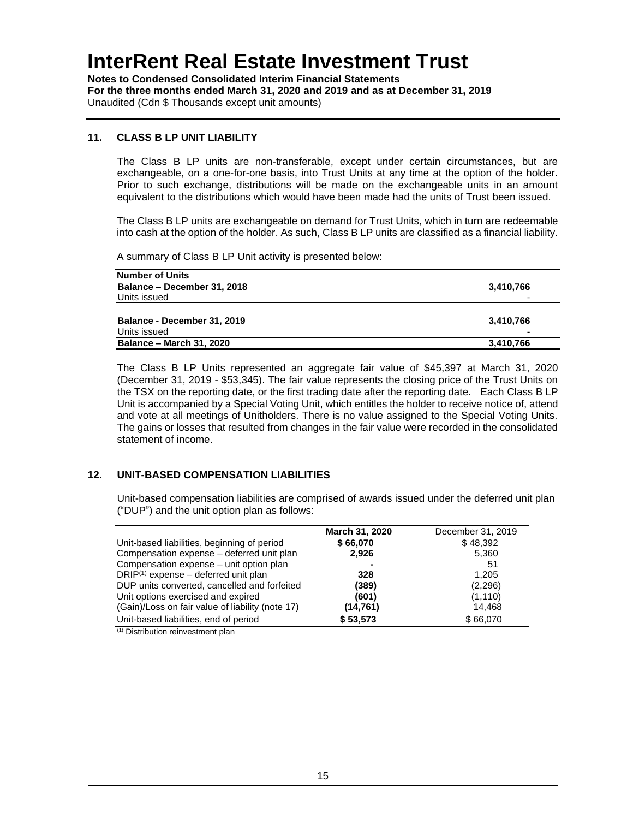**Notes to Condensed Consolidated Interim Financial Statements For the three months ended March 31, 2020 and 2019 and as at December 31, 2019** Unaudited (Cdn \$ Thousands except unit amounts)

### **11. CLASS B LP UNIT LIABILITY**

The Class B LP units are non-transferable, except under certain circumstances, but are exchangeable, on a one-for-one basis, into Trust Units at any time at the option of the holder. Prior to such exchange, distributions will be made on the exchangeable units in an amount equivalent to the distributions which would have been made had the units of Trust been issued.

The Class B LP units are exchangeable on demand for Trust Units, which in turn are redeemable into cash at the option of the holder. As such, Class B LP units are classified as a financial liability.

A summary of Class B LP Unit activity is presented below:

| 3,410,766                |
|--------------------------|
| $\overline{\phantom{0}}$ |
|                          |
| 3,410,766                |
|                          |
| 3,410,766                |
|                          |

The Class B LP Units represented an aggregate fair value of \$45,397 at March 31, 2020 (December 31, 2019 - \$53,345). The fair value represents the closing price of the Trust Units on the TSX on the reporting date, or the first trading date after the reporting date. Each Class B LP Unit is accompanied by a Special Voting Unit, which entitles the holder to receive notice of, attend and vote at all meetings of Unitholders. There is no value assigned to the Special Voting Units. The gains or losses that resulted from changes in the fair value were recorded in the consolidated statement of income.

### **12. UNIT-BASED COMPENSATION LIABILITIES**

Unit-based compensation liabilities are comprised of awards issued under the deferred unit plan ("DUP") and the unit option plan as follows:

|                                                  | March 31, 2020 | December 31, 2019 |
|--------------------------------------------------|----------------|-------------------|
| Unit-based liabilities, beginning of period      | \$66,070       | \$48.392          |
| Compensation expense - deferred unit plan        | 2.926          | 5,360             |
| Compensation expense - unit option plan          |                | 51                |
| $DRIP^{(1)}$ expense – deferred unit plan        | 328            | 1.205             |
| DUP units converted, cancelled and forfeited     | (389)          | (2,296)           |
| Unit options exercised and expired               | (601)          | (1, 110)          |
| (Gain)/Loss on fair value of liability (note 17) | (14,761)       | 14,468            |
| Unit-based liabilities, end of period            | \$53,573       | \$66,070          |

 $(1)$  Distribution reinvestment plan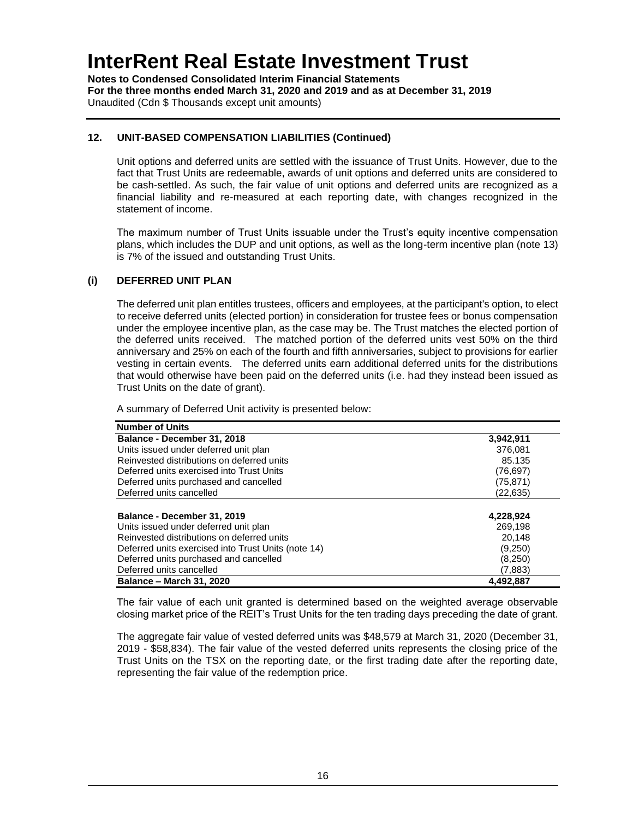**Notes to Condensed Consolidated Interim Financial Statements For the three months ended March 31, 2020 and 2019 and as at December 31, 2019** Unaudited (Cdn \$ Thousands except unit amounts)

### **12. UNIT-BASED COMPENSATION LIABILITIES (Continued)**

Unit options and deferred units are settled with the issuance of Trust Units. However, due to the fact that Trust Units are redeemable, awards of unit options and deferred units are considered to be cash-settled. As such, the fair value of unit options and deferred units are recognized as a financial liability and re-measured at each reporting date, with changes recognized in the statement of income.

The maximum number of Trust Units issuable under the Trust's equity incentive compensation plans, which includes the DUP and unit options, as well as the long-term incentive plan (note 13) is 7% of the issued and outstanding Trust Units.

### **(i) DEFERRED UNIT PLAN**

The deferred unit plan entitles trustees, officers and employees, at the participant's option, to elect to receive deferred units (elected portion) in consideration for trustee fees or bonus compensation under the employee incentive plan, as the case may be. The Trust matches the elected portion of the deferred units received. The matched portion of the deferred units vest 50% on the third anniversary and 25% on each of the fourth and fifth anniversaries, subject to provisions for earlier vesting in certain events. The deferred units earn additional deferred units for the distributions that would otherwise have been paid on the deferred units (i.e. had they instead been issued as Trust Units on the date of grant).

A summary of Deferred Unit activity is presented below:

| <b>Number of Units</b>                              |           |
|-----------------------------------------------------|-----------|
| Balance - December 31, 2018                         | 3,942,911 |
| Units issued under deferred unit plan               | 376.081   |
| Reinvested distributions on deferred units          | 85.135    |
| Deferred units exercised into Trust Units           | (76, 697) |
| Deferred units purchased and cancelled              | (75, 871) |
| Deferred units cancelled                            | (22,635)  |
|                                                     |           |
| Balance - December 31, 2019                         | 4,228,924 |
| Units issued under deferred unit plan               | 269.198   |
| Reinvested distributions on deferred units          | 20.148    |
| Deferred units exercised into Trust Units (note 14) | (9,250)   |
| Deferred units purchased and cancelled              | (8,250)   |
| Deferred units cancelled                            | (7,883)   |
| <b>Balance - March 31, 2020</b>                     | 4,492,887 |

The fair value of each unit granted is determined based on the weighted average observable closing market price of the REIT's Trust Units for the ten trading days preceding the date of grant.

The aggregate fair value of vested deferred units was \$48,579 at March 31, 2020 (December 31, 2019 - \$58,834). The fair value of the vested deferred units represents the closing price of the Trust Units on the TSX on the reporting date, or the first trading date after the reporting date, representing the fair value of the redemption price.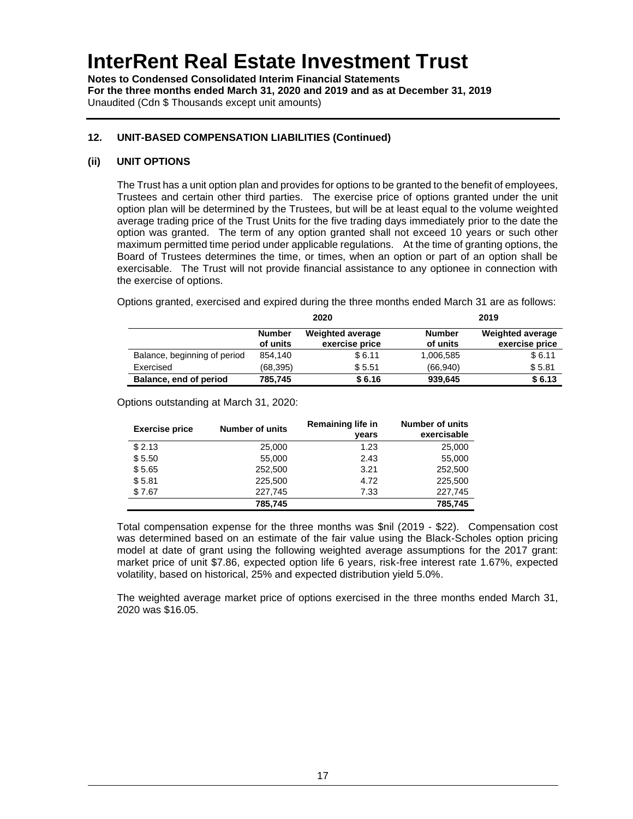**Notes to Condensed Consolidated Interim Financial Statements For the three months ended March 31, 2020 and 2019 and as at December 31, 2019** Unaudited (Cdn \$ Thousands except unit amounts)

### **12. UNIT-BASED COMPENSATION LIABILITIES (Continued)**

### **(ii) UNIT OPTIONS**

The Trust has a unit option plan and provides for options to be granted to the benefit of employees, Trustees and certain other third parties. The exercise price of options granted under the unit option plan will be determined by the Trustees, but will be at least equal to the volume weighted average trading price of the Trust Units for the five trading days immediately prior to the date the option was granted. The term of any option granted shall not exceed 10 years or such other maximum permitted time period under applicable regulations. At the time of granting options, the Board of Trustees determines the time, or times, when an option or part of an option shall be exercisable. The Trust will not provide financial assistance to any optionee in connection with the exercise of options.

Options granted, exercised and expired during the three months ended March 31 are as follows:

|                              | 2020                      |                                           | 2019                      |                                           |
|------------------------------|---------------------------|-------------------------------------------|---------------------------|-------------------------------------------|
|                              | <b>Number</b><br>of units | <b>Weighted average</b><br>exercise price | <b>Number</b><br>of units | <b>Weighted average</b><br>exercise price |
| Balance, beginning of period | 854.140                   | \$6.11                                    | 1,006,585                 | \$6.11                                    |
| Exercised                    | (68,395)                  | \$5.51                                    | (66.940)                  | \$5.81                                    |
| Balance, end of period       | 785,745                   | \$6.16                                    | 939,645                   | \$6.13                                    |

Options outstanding at March 31, 2020:

| <b>Exercise price</b> | <b>Number of units</b> | <b>Remaining life in</b><br>vears | <b>Number of units</b><br>exercisable |
|-----------------------|------------------------|-----------------------------------|---------------------------------------|
| \$2.13                | 25,000                 | 1.23                              | 25,000                                |
| \$5.50                | 55,000                 | 2.43                              | 55,000                                |
| \$5.65                | 252,500                | 3.21                              | 252,500                               |
| \$5.81                | 225.500                | 4.72                              | 225,500                               |
| \$7.67                | 227.745                | 7.33                              | 227,745                               |
|                       | 785,745                |                                   | 785,745                               |

Total compensation expense for the three months was \$nil (2019 - \$22). Compensation cost was determined based on an estimate of the fair value using the Black-Scholes option pricing model at date of grant using the following weighted average assumptions for the 2017 grant: market price of unit \$7.86, expected option life 6 years, risk-free interest rate 1.67%, expected volatility, based on historical, 25% and expected distribution yield 5.0%.

The weighted average market price of options exercised in the three months ended March 31, 2020 was \$16.05.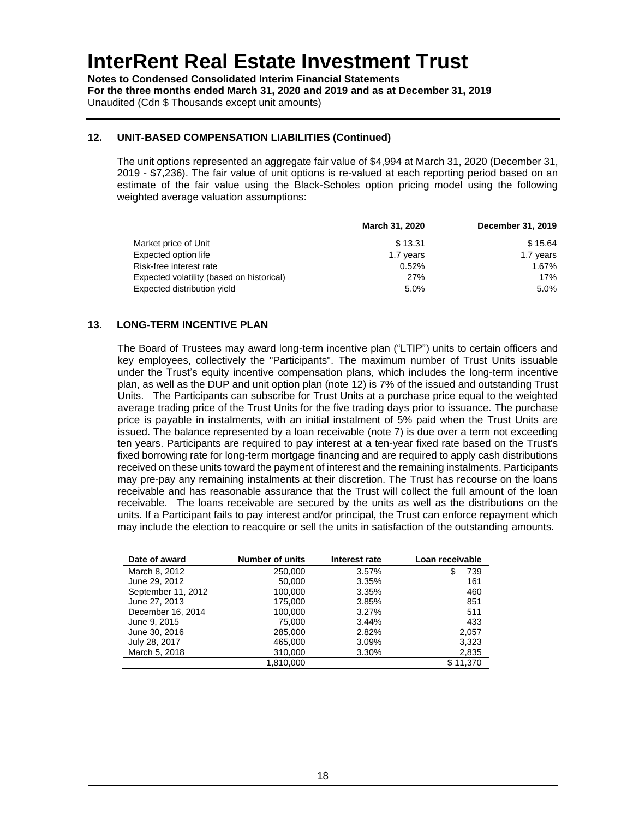**Notes to Condensed Consolidated Interim Financial Statements For the three months ended March 31, 2020 and 2019 and as at December 31, 2019** Unaudited (Cdn \$ Thousands except unit amounts)

### **12. UNIT-BASED COMPENSATION LIABILITIES (Continued)**

The unit options represented an aggregate fair value of \$4,994 at March 31, 2020 (December 31, 2019 - \$7,236). The fair value of unit options is re-valued at each reporting period based on an estimate of the fair value using the Black-Scholes option pricing model using the following weighted average valuation assumptions:

|                                           | March 31, 2020 | December 31, 2019 |
|-------------------------------------------|----------------|-------------------|
| Market price of Unit                      | \$13.31        | \$15.64           |
| Expected option life                      | 1.7 years      | 1.7 years         |
| Risk-free interest rate                   | 0.52%          | 1.67%             |
| Expected volatility (based on historical) | 27%            | 17%               |
| Expected distribution yield               | 5.0%           | 5.0%              |

### **13. LONG-TERM INCENTIVE PLAN**

The Board of Trustees may award long-term incentive plan ("LTIP") units to certain officers and key employees, collectively the "Participants". The maximum number of Trust Units issuable under the Trust's equity incentive compensation plans, which includes the long-term incentive plan, as well as the DUP and unit option plan (note 12) is 7% of the issued and outstanding Trust Units. The Participants can subscribe for Trust Units at a purchase price equal to the weighted average trading price of the Trust Units for the five trading days prior to issuance. The purchase price is payable in instalments, with an initial instalment of 5% paid when the Trust Units are issued. The balance represented by a loan receivable (note 7) is due over a term not exceeding ten years. Participants are required to pay interest at a ten-year fixed rate based on the Trust's fixed borrowing rate for long-term mortgage financing and are required to apply cash distributions received on these units toward the payment of interest and the remaining instalments. Participants may pre-pay any remaining instalments at their discretion. The Trust has recourse on the loans receivable and has reasonable assurance that the Trust will collect the full amount of the loan receivable. The loans receivable are secured by the units as well as the distributions on the units. If a Participant fails to pay interest and/or principal, the Trust can enforce repayment which may include the election to reacquire or sell the units in satisfaction of the outstanding amounts.

| Date of award      | <b>Number of units</b> | Interest rate | Loan receivable |
|--------------------|------------------------|---------------|-----------------|
| March 8, 2012      | 250,000                | 3.57%         | 739             |
| June 29, 2012      | 50,000                 | 3.35%         | 161             |
| September 11, 2012 | 100,000                | 3.35%         | 460             |
| June 27, 2013      | 175.000                | 3.85%         | 851             |
| December 16, 2014  | 100,000                | 3.27%         | 511             |
| June 9, 2015       | 75,000                 | 3.44%         | 433             |
| June 30, 2016      | 285,000                | 2.82%         | 2,057           |
| July 28, 2017      | 465,000                | 3.09%         | 3,323           |
| March 5, 2018      | 310,000                | 3.30%         | 2,835           |
|                    | 1,810,000              |               | \$11,370        |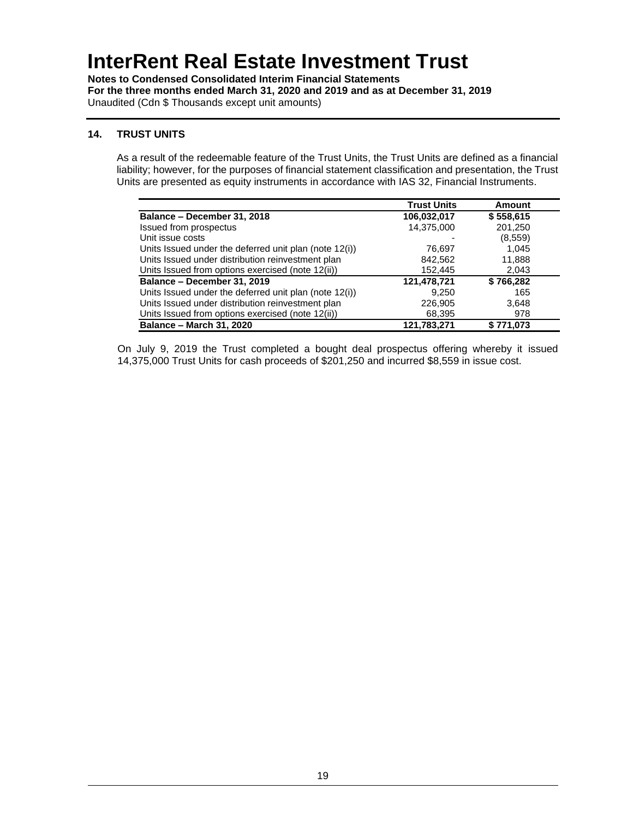**Notes to Condensed Consolidated Interim Financial Statements For the three months ended March 31, 2020 and 2019 and as at December 31, 2019** Unaudited (Cdn \$ Thousands except unit amounts)

### **14. TRUST UNITS**

As a result of the redeemable feature of the Trust Units, the Trust Units are defined as a financial liability; however, for the purposes of financial statement classification and presentation, the Trust Units are presented as equity instruments in accordance with IAS 32, Financial Instruments.

|                                                        | <b>Trust Units</b> | Amount    |
|--------------------------------------------------------|--------------------|-----------|
| Balance - December 31, 2018                            | 106,032,017        | \$558,615 |
| Issued from prospectus                                 | 14,375,000         | 201,250   |
| Unit issue costs                                       |                    | (8,559)   |
| Units Issued under the deferred unit plan (note 12(i)) | 76.697             | 1.045     |
| Units Issued under distribution reinvestment plan      | 842,562            | 11,888    |
| Units Issued from options exercised (note 12(ii))      | 152.445            | 2,043     |
| Balance - December 31, 2019                            | 121,478,721        | \$766,282 |
| Units Issued under the deferred unit plan (note 12(i)) | 9,250              | 165       |
| Units Issued under distribution reinvestment plan      | 226,905            | 3,648     |
| Units Issued from options exercised (note 12(ii))      | 68,395             | 978       |
| <b>Balance - March 31, 2020</b>                        | 121,783,271        | \$771.073 |

On July 9, 2019 the Trust completed a bought deal prospectus offering whereby it issued 14,375,000 Trust Units for cash proceeds of \$201,250 and incurred \$8,559 in issue cost.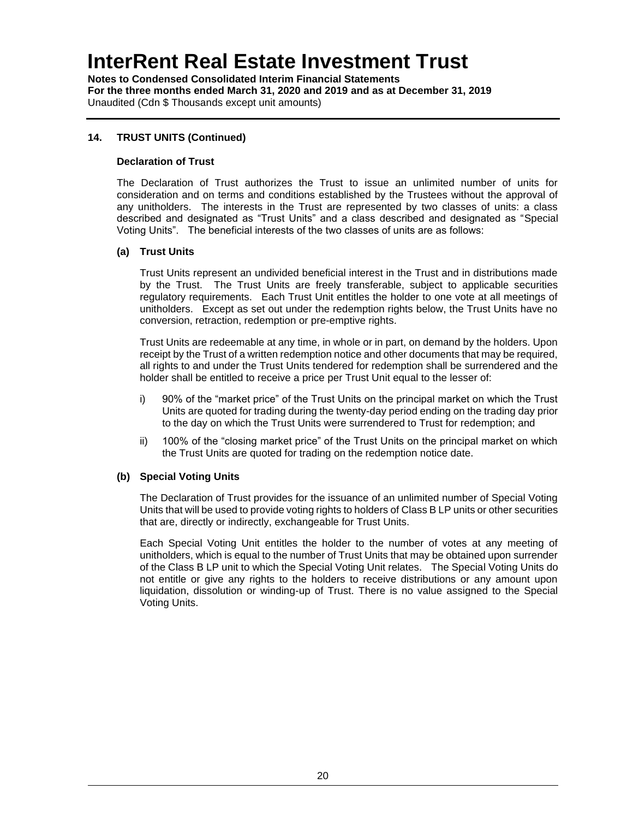**Notes to Condensed Consolidated Interim Financial Statements For the three months ended March 31, 2020 and 2019 and as at December 31, 2019** Unaudited (Cdn \$ Thousands except unit amounts)

### **14. TRUST UNITS (Continued)**

#### **Declaration of Trust**

The Declaration of Trust authorizes the Trust to issue an unlimited number of units for consideration and on terms and conditions established by the Trustees without the approval of any unitholders. The interests in the Trust are represented by two classes of units: a class described and designated as "Trust Units" and a class described and designated as "Special Voting Units". The beneficial interests of the two classes of units are as follows:

#### **(a) Trust Units**

Trust Units represent an undivided beneficial interest in the Trust and in distributions made by the Trust. The Trust Units are freely transferable, subject to applicable securities regulatory requirements. Each Trust Unit entitles the holder to one vote at all meetings of unitholders. Except as set out under the redemption rights below, the Trust Units have no conversion, retraction, redemption or pre-emptive rights.

Trust Units are redeemable at any time, in whole or in part, on demand by the holders. Upon receipt by the Trust of a written redemption notice and other documents that may be required, all rights to and under the Trust Units tendered for redemption shall be surrendered and the holder shall be entitled to receive a price per Trust Unit equal to the lesser of:

- i) 90% of the "market price" of the Trust Units on the principal market on which the Trust Units are quoted for trading during the twenty-day period ending on the trading day prior to the day on which the Trust Units were surrendered to Trust for redemption; and
- ii) 100% of the "closing market price" of the Trust Units on the principal market on which the Trust Units are quoted for trading on the redemption notice date.

### **(b) Special Voting Units**

The Declaration of Trust provides for the issuance of an unlimited number of Special Voting Units that will be used to provide voting rights to holders of Class B LP units or other securities that are, directly or indirectly, exchangeable for Trust Units.

Each Special Voting Unit entitles the holder to the number of votes at any meeting of unitholders, which is equal to the number of Trust Units that may be obtained upon surrender of the Class B LP unit to which the Special Voting Unit relates. The Special Voting Units do not entitle or give any rights to the holders to receive distributions or any amount upon liquidation, dissolution or winding-up of Trust. There is no value assigned to the Special Voting Units.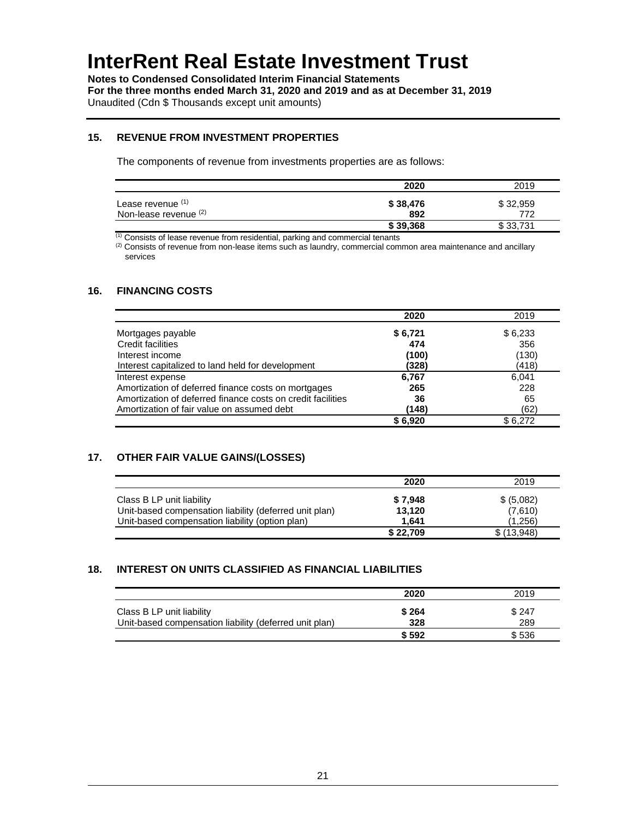**Notes to Condensed Consolidated Interim Financial Statements For the three months ended March 31, 2020 and 2019 and as at December 31, 2019** Unaudited (Cdn \$ Thousands except unit amounts)

#### **15. REVENUE FROM INVESTMENT PROPERTIES**

The components of revenue from investments properties are as follows:

|                                            | 2020            | 2019            |
|--------------------------------------------|-----------------|-----------------|
| Lease revenue (1)<br>Non-lease revenue (2) | \$38,476<br>892 | \$32,959<br>772 |
|                                            | \$39,368        | \$33,731        |

 $(1)$  Consists of lease revenue from residential, parking and commercial tenants

<sup>(2)</sup> Consists of revenue from non-lease items such as laundry, commercial common area maintenance and ancillary services

### **16. FINANCING COSTS**

|                                                             | 2020    | 2019    |
|-------------------------------------------------------------|---------|---------|
| Mortgages payable                                           | \$6,721 | \$6,233 |
| Credit facilities                                           | 474     | 356     |
| Interest income                                             | (100)   | (130)   |
| Interest capitalized to land held for development           | (328)   | (418)   |
| Interest expense                                            | 6,767   | 6.041   |
| Amortization of deferred finance costs on mortgages         | 265     | 228     |
| Amortization of deferred finance costs on credit facilities | 36      | 65      |
| Amortization of fair value on assumed debt                  | (148)   | (62)    |
|                                                             | \$6.920 | \$6,272 |

### **17. OTHER FAIR VALUE GAINS/(LOSSES)**

|                                                        | 2020     | 2019       |
|--------------------------------------------------------|----------|------------|
| Class B LP unit liability                              | \$7,948  | \$ (5,082) |
| Unit-based compensation liability (deferred unit plan) | 13.120   | (7,610)    |
| Unit-based compensation liability (option plan)        | 1.641    | (1.256)    |
|                                                        | \$22,709 | \$(13,948) |

### **18. INTEREST ON UNITS CLASSIFIED AS FINANCIAL LIABILITIES**

|                                                                                     | 2020         | 2019         |
|-------------------------------------------------------------------------------------|--------------|--------------|
| Class B LP unit liability<br>Unit-based compensation liability (deferred unit plan) | \$264<br>328 | \$247<br>289 |
|                                                                                     | \$592        | \$536        |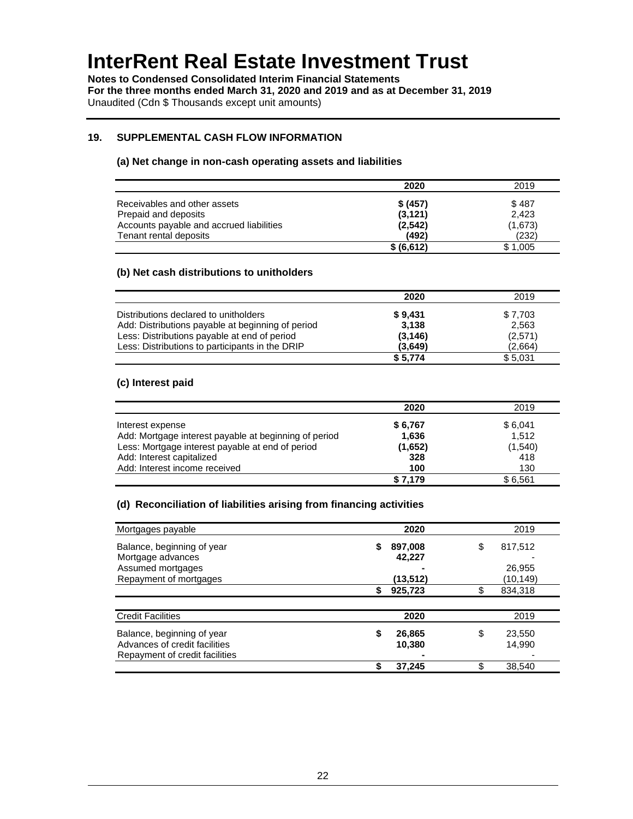**Notes to Condensed Consolidated Interim Financial Statements For the three months ended March 31, 2020 and 2019 and as at December 31, 2019** Unaudited (Cdn \$ Thousands except unit amounts)

### **19. SUPPLEMENTAL CASH FLOW INFORMATION**

#### **(a) Net change in non-cash operating assets and liabilities**

|                                          | 2020       | 2019    |
|------------------------------------------|------------|---------|
| Receivables and other assets             | \$ (457)   | \$487   |
| Prepaid and deposits                     | (3, 121)   | 2.423   |
| Accounts payable and accrued liabilities | (2,542)    | (1,673) |
| Tenant rental deposits                   | (492)      | (232)   |
|                                          | \$ (6,612) | \$1.005 |

#### **(b) Net cash distributions to unitholders**

|                                                   | 2020     | 2019    |
|---------------------------------------------------|----------|---------|
| Distributions declared to unitholders             | \$9.431  | \$7,703 |
| Add: Distributions payable at beginning of period | 3.138    | 2,563   |
| Less: Distributions payable at end of period      | (3, 146) | (2,571) |
| Less: Distributions to participants in the DRIP   | (3.649)  | (2.664) |
|                                                   | \$5,774  | \$5,031 |

#### **(c) Interest paid**

|                                                       | 2020    | 2019     |
|-------------------------------------------------------|---------|----------|
| Interest expense                                      | \$6,767 | \$6,041  |
| Add: Mortgage interest payable at beginning of period | 1,636   | 1.512    |
| Less: Mortgage interest payable at end of period      | (1,652) | (1, 540) |
| Add: Interest capitalized                             | 328     | 418      |
| Add: Interest income received                         | 100     | 130      |
|                                                       | \$7,179 | \$6.561  |

#### **(d) Reconciliation of liabilities arising from financing activities**

| Mortgages payable              |    | 2020     | 2019          |
|--------------------------------|----|----------|---------------|
| Balance, beginning of year     | S  | 897,008  | \$<br>817,512 |
| Mortgage advances              |    | 42,227   |               |
| Assumed mortgages              |    |          | 26,955        |
| Repayment of mortgages         |    | (13,512) | (10, 149)     |
|                                |    | 925,723  | 834,318       |
|                                |    |          |               |
| <b>Credit Facilities</b>       |    | 2020     | 2019          |
| Balance, beginning of year     | \$ | 26,865   | \$<br>23,550  |
| Advances of credit facilities  |    | 10,380   | 14.990        |
| Repayment of credit facilities |    |          |               |
|                                | œ  | 37,245   | 38,540        |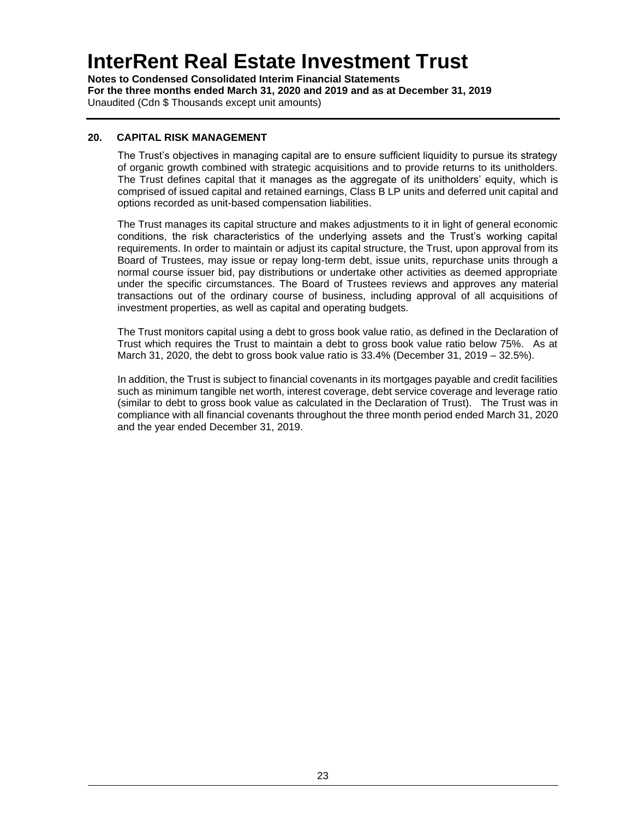**Notes to Condensed Consolidated Interim Financial Statements For the three months ended March 31, 2020 and 2019 and as at December 31, 2019** Unaudited (Cdn \$ Thousands except unit amounts)

### **20. CAPITAL RISK MANAGEMENT**

The Trust's objectives in managing capital are to ensure sufficient liquidity to pursue its strategy of organic growth combined with strategic acquisitions and to provide returns to its unitholders. The Trust defines capital that it manages as the aggregate of its unitholders' equity, which is comprised of issued capital and retained earnings, Class B LP units and deferred unit capital and options recorded as unit-based compensation liabilities.

The Trust manages its capital structure and makes adjustments to it in light of general economic conditions, the risk characteristics of the underlying assets and the Trust's working capital requirements. In order to maintain or adjust its capital structure, the Trust, upon approval from its Board of Trustees, may issue or repay long-term debt, issue units, repurchase units through a normal course issuer bid, pay distributions or undertake other activities as deemed appropriate under the specific circumstances. The Board of Trustees reviews and approves any material transactions out of the ordinary course of business, including approval of all acquisitions of investment properties, as well as capital and operating budgets.

The Trust monitors capital using a debt to gross book value ratio, as defined in the Declaration of Trust which requires the Trust to maintain a debt to gross book value ratio below 75%. As at March 31, 2020, the debt to gross book value ratio is 33.4% (December 31, 2019 – 32.5%).

In addition, the Trust is subject to financial covenants in its mortgages payable and credit facilities such as minimum tangible net worth, interest coverage, debt service coverage and leverage ratio (similar to debt to gross book value as calculated in the Declaration of Trust). The Trust was in compliance with all financial covenants throughout the three month period ended March 31, 2020 and the year ended December 31, 2019.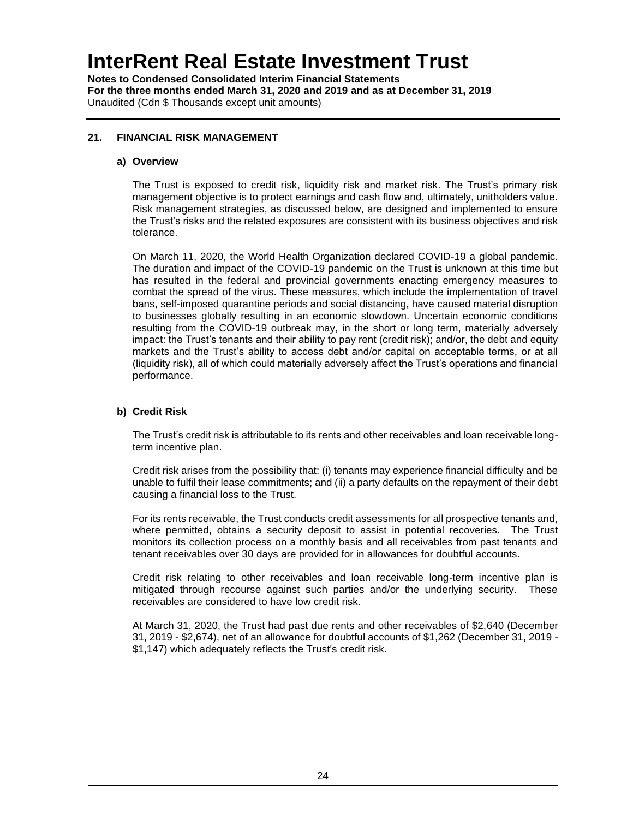**Notes to Condensed Consolidated Interim Financial Statements For the three months ended March 31, 2020 and 2019 and as at December 31, 2019** Unaudited (Cdn \$ Thousands except unit amounts)

### **21. FINANCIAL RISK MANAGEMENT**

#### **a) Overview**

The Trust is exposed to credit risk, liquidity risk and market risk. The Trust's primary risk management objective is to protect earnings and cash flow and, ultimately, unitholders value. Risk management strategies, as discussed below, are designed and implemented to ensure the Trust's risks and the related exposures are consistent with its business objectives and risk tolerance.

On March 11, 2020, the World Health Organization declared COVID-19 a global pandemic. The duration and impact of the COVID-19 pandemic on the Trust is unknown at this time but has resulted in the federal and provincial governments enacting emergency measures to combat the spread of the virus. These measures, which include the implementation of travel bans, self-imposed quarantine periods and social distancing, have caused material disruption to businesses globally resulting in an economic slowdown. Uncertain economic conditions resulting from the COVID-19 outbreak may, in the short or long term, materially adversely impact: the Trust's tenants and their ability to pay rent (credit risk); and/or, the debt and equity markets and the Trust's ability to access debt and/or capital on acceptable terms, or at all (liquidity risk), all of which could materially adversely affect the Trust's operations and financial performance.

### **b) Credit Risk**

The Trust's credit risk is attributable to its rents and other receivables and loan receivable longterm incentive plan.

Credit risk arises from the possibility that: (i) tenants may experience financial difficulty and be unable to fulfil their lease commitments; and (ii) a party defaults on the repayment of their debt causing a financial loss to the Trust.

For its rents receivable, the Trust conducts credit assessments for all prospective tenants and, where permitted, obtains a security deposit to assist in potential recoveries. The Trust monitors its collection process on a monthly basis and all receivables from past tenants and tenant receivables over 30 days are provided for in allowances for doubtful accounts.

Credit risk relating to other receivables and loan receivable long-term incentive plan is mitigated through recourse against such parties and/or the underlying security. These receivables are considered to have low credit risk.

At March 31, 2020, the Trust had past due rents and other receivables of \$2,640 (December 31, 2019 - \$2,674), net of an allowance for doubtful accounts of \$1,262 (December 31, 2019 - \$1,147) which adequately reflects the Trust's credit risk.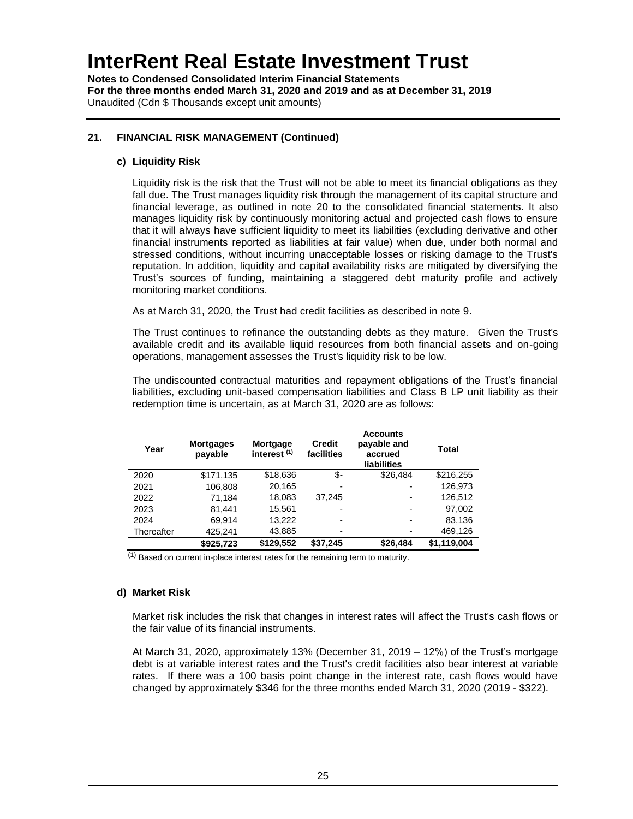**Notes to Condensed Consolidated Interim Financial Statements For the three months ended March 31, 2020 and 2019 and as at December 31, 2019** Unaudited (Cdn \$ Thousands except unit amounts)

### **21. FINANCIAL RISK MANAGEMENT (Continued)**

#### **c) Liquidity Risk**

Liquidity risk is the risk that the Trust will not be able to meet its financial obligations as they fall due. The Trust manages liquidity risk through the management of its capital structure and financial leverage, as outlined in note 20 to the consolidated financial statements. It also manages liquidity risk by continuously monitoring actual and projected cash flows to ensure that it will always have sufficient liquidity to meet its liabilities (excluding derivative and other financial instruments reported as liabilities at fair value) when due, under both normal and stressed conditions, without incurring unacceptable losses or risking damage to the Trust's reputation. In addition, liquidity and capital availability risks are mitigated by diversifying the Trust's sources of funding, maintaining a staggered debt maturity profile and actively monitoring market conditions.

As at March 31, 2020, the Trust had credit facilities as described in note 9.

The Trust continues to refinance the outstanding debts as they mature. Given the Trust's available credit and its available liquid resources from both financial assets and on-going operations, management assesses the Trust's liquidity risk to be low.

The undiscounted contractual maturities and repayment obligations of the Trust's financial liabilities, excluding unit-based compensation liabilities and Class B LP unit liability as their redemption time is uncertain, as at March 31, 2020 are as follows:

| Year       | <b>Mortgages</b><br>payable | Mortgage<br>interest <sup>(1)</sup> | <b>Credit</b><br>facilities | <b>Accounts</b><br>payable and<br>accrued<br><b>liabilities</b> | Total       |
|------------|-----------------------------|-------------------------------------|-----------------------------|-----------------------------------------------------------------|-------------|
| 2020       | \$171,135                   | \$18,636                            | \$-                         | \$26,484                                                        | \$216,255   |
| 2021       | 106,808                     | 20,165                              | $\overline{\phantom{0}}$    | $\overline{\phantom{0}}$                                        | 126,973     |
| 2022       | 71,184                      | 18,083                              | 37.245                      | -                                                               | 126,512     |
| 2023       | 81,441                      | 15,561                              | $\overline{\phantom{0}}$    | -                                                               | 97,002      |
| 2024       | 69,914                      | 13,222                              | $\blacksquare$              | -                                                               | 83,136      |
| Thereafter | 425.241                     | 43,885                              | $\overline{\phantom{0}}$    |                                                                 | 469,126     |
|            | \$925,723                   | \$129,552                           | \$37,245                    | \$26,484                                                        | \$1,119,004 |

(1) Based on current in-place interest rates for the remaining term to maturity.

### **d) Market Risk**

Market risk includes the risk that changes in interest rates will affect the Trust's cash flows or the fair value of its financial instruments.

At March 31, 2020, approximately 13% (December 31, 2019 – 12%) of the Trust's mortgage debt is at variable interest rates and the Trust's credit facilities also bear interest at variable rates. If there was a 100 basis point change in the interest rate, cash flows would have changed by approximately \$346 for the three months ended March 31, 2020 (2019 - \$322).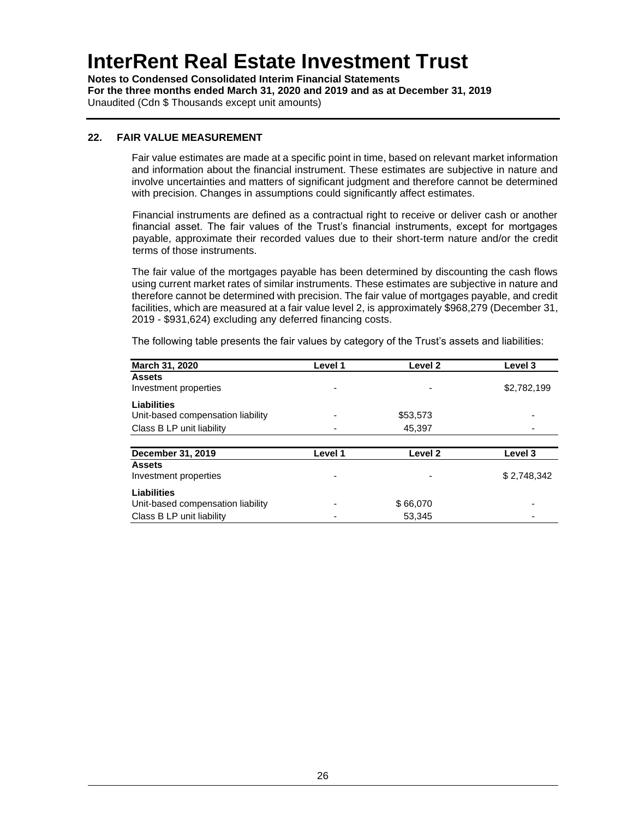**Notes to Condensed Consolidated Interim Financial Statements For the three months ended March 31, 2020 and 2019 and as at December 31, 2019** Unaudited (Cdn \$ Thousands except unit amounts)

### **22. FAIR VALUE MEASUREMENT**

Fair value estimates are made at a specific point in time, based on relevant market information and information about the financial instrument. These estimates are subjective in nature and involve uncertainties and matters of significant judgment and therefore cannot be determined with precision. Changes in assumptions could significantly affect estimates.

Financial instruments are defined as a contractual right to receive or deliver cash or another financial asset. The fair values of the Trust's financial instruments, except for mortgages payable, approximate their recorded values due to their short-term nature and/or the credit terms of those instruments.

The fair value of the mortgages payable has been determined by discounting the cash flows using current market rates of similar instruments. These estimates are subjective in nature and therefore cannot be determined with precision. The fair value of mortgages payable, and credit facilities, which are measured at a fair value level 2, is approximately \$968,279 (December 31, 2019 - \$931,624) excluding any deferred financing costs.

| March 31, 2020                         | Level 1 | Level 2  | Level 3     |
|----------------------------------------|---------|----------|-------------|
| <b>Assets</b><br>Investment properties |         | ۰        | \$2,782,199 |
| Liabilities                            |         |          |             |
| Unit-based compensation liability      |         | \$53,573 |             |
| Class B LP unit liability              |         | 45,397   |             |
|                                        |         |          |             |
| December 31, 2019                      | Level 1 | Level 2  | Level 3     |
| <b>Assets</b><br>Investment properties |         | ۰        | \$2,748,342 |
| Liabilities                            |         |          |             |
| Unit-based compensation liability      |         | \$66,070 |             |
| Class B LP unit liability              |         | 53.345   |             |